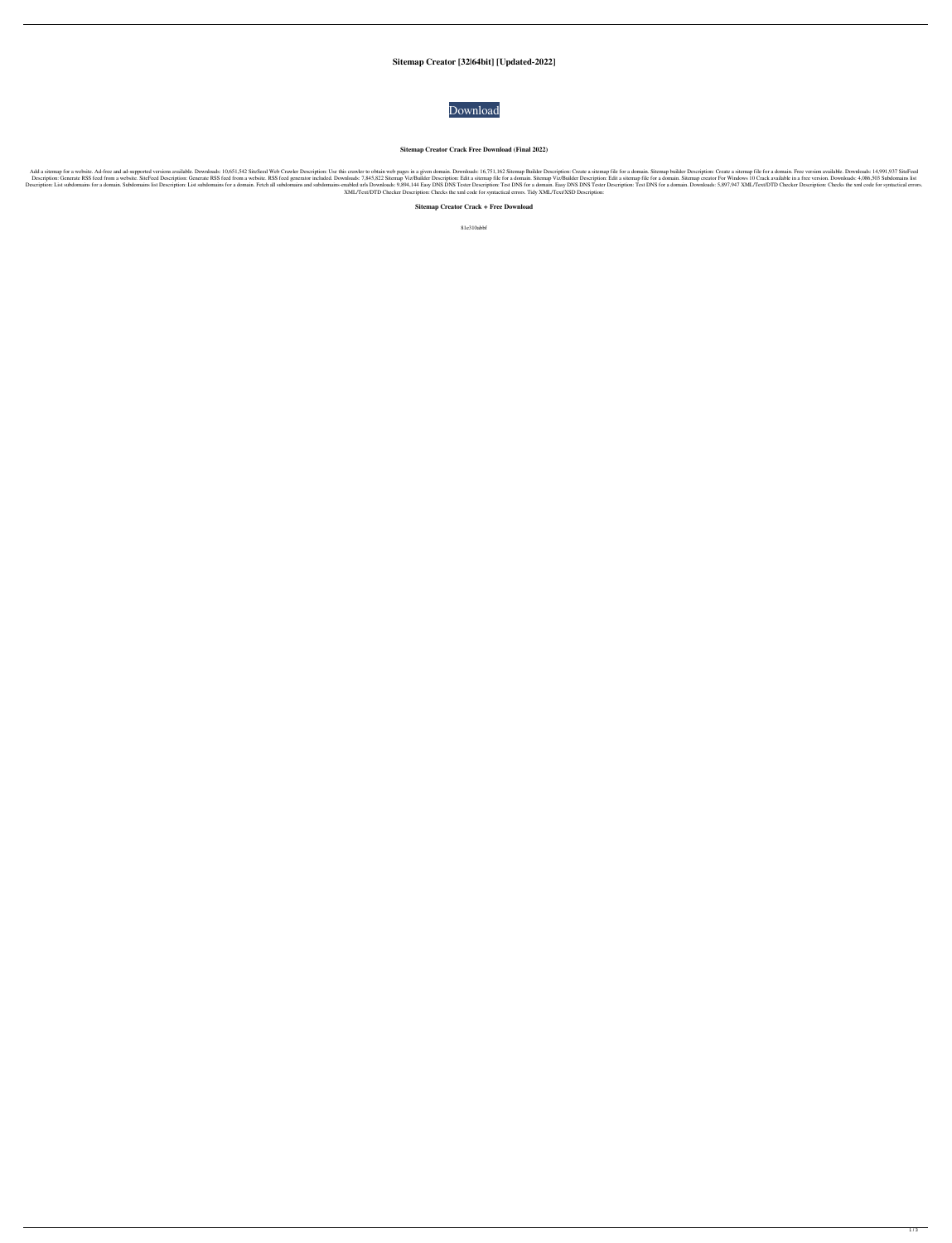# **Sitemap Creator [32|64bit] [Updated-2022]**



# **Sitemap Creator Crack Free Download (Final 2022)**

Add a sitemap for a website. Ad-free and ad-supported versions available. Downloads: 10,651,542 SiteSeed Web Crawler Description: Use this crawler to obtain web pages in a given domain. Downloads: 16,751,162 Sitemap file f Description: Generate RSS feed from a website. SiteFeed Description: Generate RSS feed from a website RSS feed from a website. RSS feed generator included. Downloads: 7,845,822 Sitemap Viz/Builder Description: Edit a sitem Description: List subdomains for a domain. Subdomains list Description: List subdomains for a domain. Fetch all subdomains and subdomains and subdomains-enabled urls Downloads: 9,894,144 Easy DNS DNS Tester Description: Te XML/Text/DTD Checker Description: Checks the xml code for syntactical errors. Tidy XML/Text/XSD Description:

# **Sitemap Creator Crack + Free Download**

81e310abbf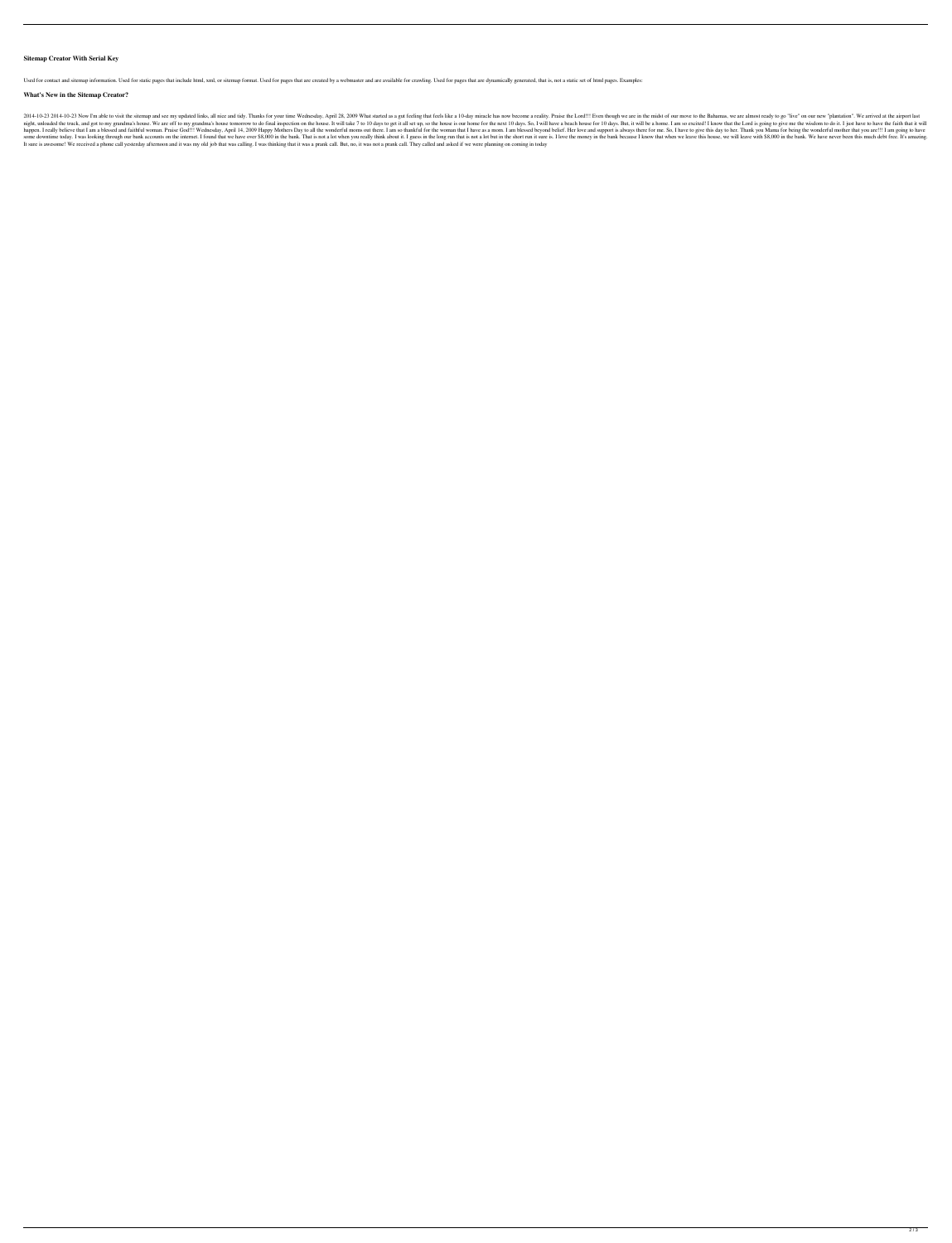#### **Sitemap Creator With Serial Key**

Used for contact and sitemap information. Used for static pages that include html, xml, or sitemap format. Used for pages that are created by a webmaster and are available for crawling. Used for pages that are dynamically

# **What's New in the Sitemap Creator?**

2014-10-23 2014-10-23 Now I'm able to visit the sitemap and see my updated links, all nice and tidy. Thanks for your time Wednesday, April 28, 2009 What started as a gut feeling that feels like a 10-day miracle has now bec night, unloaded the truck, and got to my grandma's house. We are off to my grandma's house tomorrow to do final inspection on the house. It will take 7 to 10 days to get it all set up, so the house is our home for the next happen. I really believe that I am a blessed and faithful woman. Praise God !!! Wednesday, April 14, 2009 Happy Mothers Day to all the wonderful moms out there. I am so thankful for the woman that I have as a mom. I am ble some downtime today. I was looking through our bank accounts on the internet. I found that we have over \$8,000 in the bank. That is not a lot when you really think about it. I guess in the long run that is not a lot but in It sure is awesome! We received a phone call yesterday afternoon and it was my old job that was calling. I was thinking that it was a prank call. But, no, it was not a prank call. They called and asked if we were planning